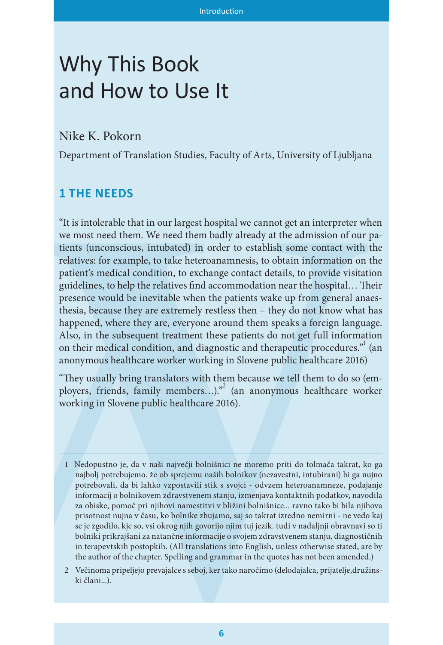# Why This Book and How to Use It

## Nike K. Pokorn

Department of Translation Studies, Faculty of Arts, University of Ljubljana

## **1 THE NEEDS**

**11 THE NEEDS**<br>
"It is intolerable that in our largest hospital we cannot get an interpreter whe most need them. We measured them baddy altered y at the admission of our year most need to more to the stellar model with th "It is intolerable that in our largest hospital we cannot get an interpreter when we most need them. We need them badly already at the admission of our patients (unconscious, intubated) in order to establish some contact with the relatives: for example, to take heteroanamnesis, to obtain information on the patient's medical condition, to exchange contact details, to provide visitation guidelines, to help the relatives find accommodation near the hospital… Their presence would be inevitable when the patients wake up from general anaesthesia, because they are extremely restless then – they do not know what has happened, where they are, everyone around them speaks a foreign language. Also, in the subsequent treatment these patients do not get full information on their medical condition, and diagnostic and therapeutic procedures."<sup>1</sup> (an anonymous healthcare worker working in Slovene public healthcare 2016)

"They usually bring translators with them because we tell them to do so (employers, friends, family members...)."<sup>2</sup> (an anonymous healthcare worker working in Slovene public healthcare 2016).

- 1 Nedopustno je, da v naši največji bolnišnici ne moremo priti do tolmača takrat, ko ga najbolj potrebujemo. že ob sprejemu naših bolnikov (nezavestni, intubirani) bi ga nujno potrebovali, da bi lahko vzpostavili stik s svojci - odvzem heteroanamneze, podajanje informacij o bolnikovem zdravstvenem stanju, izmenjava kontaktnih podatkov, navodila za obiske, pomoč pri njihovi namestitvi v bližini bolnišnice... ravno tako bi bila njihova prisotnost nujna v času, ko bolnike zbujamo, saj so takrat izredno nemirni - ne vedo kaj se je zgodilo, kje so, vsi okrog njih govorijo njim tuj jezik. tudi v nadaljnji obravnavi so ti bolniki prikrajšani za natančne informacije o svojem zdravstvenem stanju, diagnostičnih in terapevtskih postopkih. (All translations into English, unless otherwise stated, are by the author of the chapter. Spelling and grammar in the quotes has not been amended.)
- 2 Večinoma pripeljejo prevajalce s seboj, ker tako naročimo (delodajalca, prijatelje,družinski člani...).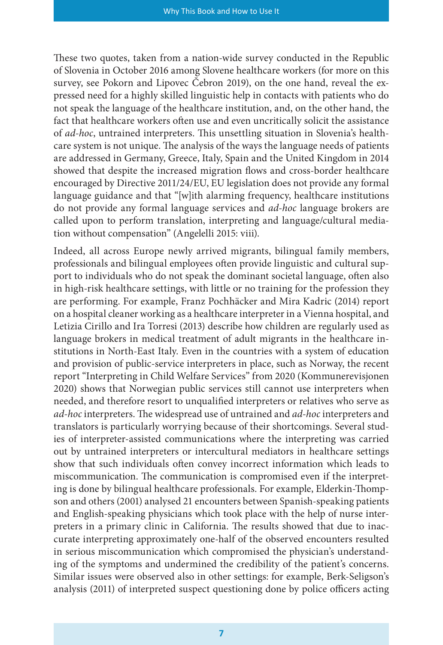These two quotes, taken from a nation-wide survey conducted in the Republic of Slovenia in October 2016 among Slovene healthcare workers (for more on this survey, see Pokorn and Lipovec Čebron 2019), on the one hand, reveal the expressed need for a highly skilled linguistic help in contacts with patients who do not speak the language of the healthcare institution, and, on the other hand, the fact that healthcare workers often use and even uncritically solicit the assistance of *ad-hoc*, untrained interpreters. This unsettling situation in Slovenia's healthcare system is not unique. The analysis of the ways the language needs of patients are addressed in Germany, Greece, Italy, Spain and the United Kingdom in 2014 showed that despite the increased migration flows and cross-border healthcare encouraged by Directive 2011/24/EU, EU legislation does not provide any formal language guidance and that "[w]ith alarming frequency, healthcare institutions do not provide any formal language services and *ad-hoc* language brokers are called upon to perform translation, interpreting and language/cultural mediation without compensation" (Angelelli 2015: viii).

Indeed, all across Europe newly arrived migrants, bilingual family members, professionals and bilingual employees often provide linguistic and cultural support to individuals who do not speak the dominant societal language, often also in high-risk healthcare settings, with little or no training for the profession they are performing. For example, Franz Pochhäcker and Mira Kadric (2014) report on a hospital cleaner working as a healthcare interpreter in a Vienna hospital, and Letizia Cirillo and Ira Torresi (2013) describe how children are regularly used as language brokers in medical treatment of adult migrants in the healthcare institutions in North-East Italy. Even in the countries with a system of education and provision of public-service interpreters in place, such as Norway, the recent report "Interpreting in Child Welfare Services" from 2020 (Kommunerevisjonen 2020) shows that Norwegian public services still cannot use interpreters when needed, and therefore resort to unqualified interpreters or relatives who serve as *ad-hoc* interpreters. The widespread use of untrained and *ad-hoc* interpreters and translators is particularly worrying because of their shortcomings. Several studies of interpreter-assisted communications where the interpreting was carried out by untrained interpreters or intercultural mediators in healthcare settings show that such individuals often convey incorrect information which leads to miscommunication. The communication is compromised even if the interpreting is done by bilingual healthcare professionals. For example, Elderkin-Thompson and others (2001) analysed 21 encounters between Spanish-speaking patients and English-speaking physicians which took place with the help of nurse interpreters in a primary clinic in California. The results showed that due to inaccurate interpreting approximately one-half of the observed encounters resulted in serious miscommunication which compromised the physician's understanding of the symptoms and undermined the credibility of the patient's concerns. Similar issues were observed also in other settings: for example, Berk-Seligson's analysis (2011) of interpreted suspect questioning done by police officers acting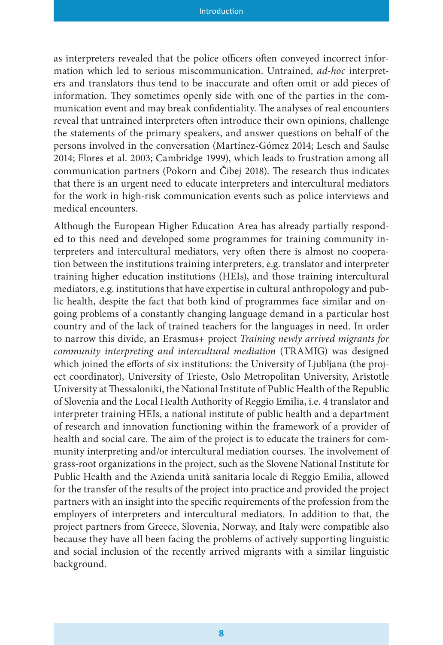as interpreters revealed that the police officers often conveyed incorrect information which led to serious miscommunication. Untrained, *ad-hoc* interpreters and translators thus tend to be inaccurate and often omit or add pieces of information. They sometimes openly side with one of the parties in the communication event and may break confidentiality. The analyses of real encounters reveal that untrained interpreters often introduce their own opinions, challenge the statements of the primary speakers, and answer questions on behalf of the persons involved in the conversation (Martínez-Gómez 2014; Lesch and Saulse 2014; Flores et al. 2003; Cambridge 1999), which leads to frustration among all communication partners (Pokorn and Čibej 2018). The research thus indicates that there is an urgent need to educate interpreters and intercultural mediators for the work in high-risk communication events such as police interviews and medical encounters.

Although the European Higher Education Area has already partially responded to this need and developed some programmes for training community interpreters and intercultural mediators, very often there is almost no cooperation between the institutions training interpreters, e.g. translator and interpreter training higher education institutions (HEIs), and those training intercultural mediators, e.g. institutions that have expertise in cultural anthropology and public health, despite the fact that both kind of programmes face similar and ongoing problems of a constantly changing language demand in a particular host country and of the lack of trained teachers for the languages in need. In order to narrow this divide, an Erasmus+ project *Training newly arrived migrants for community interpreting and intercultural mediation* (TRAMIG) was designed which joined the efforts of six institutions: the University of Ljubljana (the project coordinator), University of Trieste, Oslo Metropolitan University, Aristotle University at Thessaloniki, the National Institute of Public Health of the Republic of Slovenia and the Local Health Authority of Reggio Emilia, i.e. 4 translator and interpreter training HEIs, a national institute of public health and a department of research and innovation functioning within the framework of a provider of health and social care. The aim of the project is to educate the trainers for community interpreting and/or intercultural mediation courses. The involvement of grass-root organizations in the project, such as the Slovene National Institute for Public Health and the Azienda unità sanitaria locale di Reggio Emilia, allowed for the transfer of the results of the project into practice and provided the project partners with an insight into the specific requirements of the profession from the employers of interpreters and intercultural mediators. In addition to that, the project partners from Greece, Slovenia, Norway, and Italy were compatible also because they have all been facing the problems of actively supporting linguistic and social inclusion of the recently arrived migrants with a similar linguistic background.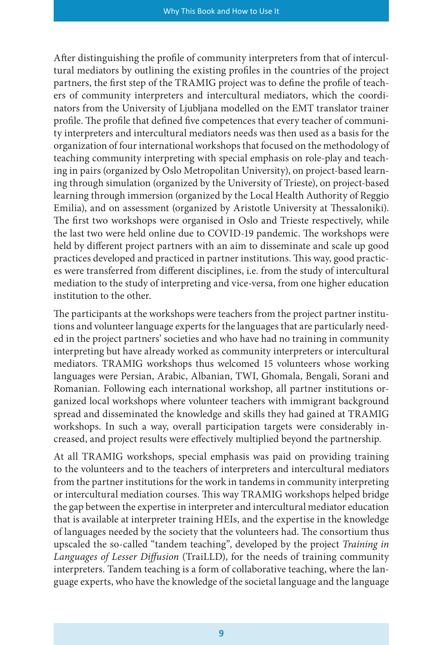After distinguishing the profile of community interpreters from that of intercultural mediators by outlining the existing profiles in the countries of the project partners, the first step of the TRAMIG project was to define the profile of teachers of community interpreters and intercultural mediators, which the coordinators from the University of Ljubljana modelled on the EMT translator trainer profile. The profile that defined five competences that every teacher of community interpreters and intercultural mediators needs was then used as a basis for the organization of four international workshops that focused on the methodology of teaching community interpreting with special emphasis on role-play and teaching in pairs (organized by Oslo Metropolitan University), on project-based learning through simulation (organized by the University of Trieste), on project-based learning through immersion (organized by the Local Health Authority of Reggio Emilia), and on assessment (organized by Aristotle University at Thessaloniki). The first two workshops were organised in Oslo and Trieste respectively, while the last two were held online due to COVID-19 pandemic. The workshops were held by different project partners with an aim to disseminate and scale up good practices developed and practiced in partner institutions. This way, good practices were transferred from different disciplines, i.e. from the study of intercultural mediation to the study of interpreting and vice-versa, from one higher education institution to the other.

The participants at the workshops were teachers from the project partner institutions and volunteer language experts for the languages that are particularly needed in the project partners' societies and who have had no training in community interpreting but have already worked as community interpreters or intercultural mediators. TRAMIG workshops thus welcomed 15 volunteers whose working languages were Persian, Arabic, Albanian, TWI, Ghomala, Bengali, Sorani and Romanian. Following each international workshop, all partner institutions organized local workshops where volunteer teachers with immigrant background spread and disseminated the knowledge and skills they had gained at TRAMIG workshops. In such a way, overall participation targets were considerably increased, and project results were effectively multiplied beyond the partnership.

At all TRAMIG workshops, special emphasis was paid on providing training to the volunteers and to the teachers of interpreters and intercultural mediators from the partner institutions for the work in tandems in community interpreting or intercultural mediation courses. This way TRAMIG workshops helped bridge the gap between the expertise in interpreter and intercultural mediator education that is available at interpreter training HEIs, and the expertise in the knowledge of languages needed by the society that the volunteers had. The consortium thus upscaled the so-called "tandem teaching", developed by the project *Training in Languages of Lesser Diffusion* (TraiLLD), for the needs of training community interpreters. Tandem teaching is a form of collaborative teaching, where the language experts, who have the knowledge of the societal language and the language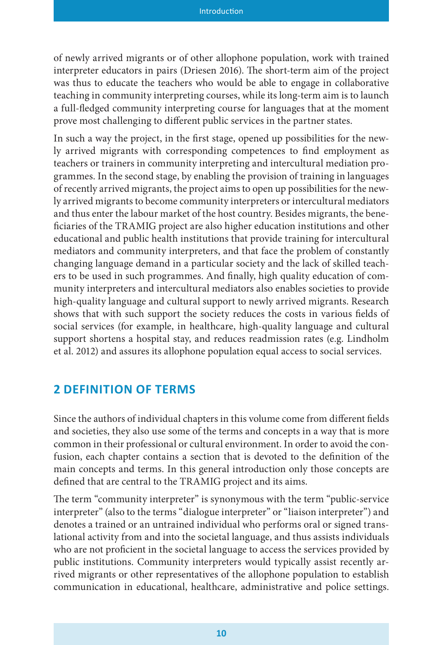of newly arrived migrants or of other allophone population, work with trained interpreter educators in pairs (Driesen 2016). The short-term aim of the project was thus to educate the teachers who would be able to engage in collaborative teaching in community interpreting courses, while its long-term aim is to launch a full-fledged community interpreting course for languages that at the moment prove most challenging to different public services in the partner states.

In such a way the project, in the first stage, opened up possibilities for the newly arrived migrants with corresponding competences to find employment as teachers or trainers in community interpreting and intercultural mediation programmes. In the second stage, by enabling the provision of training in languages of recently arrived migrants, the project aims to open up possibilities for the newly arrived migrants to become community interpreters or intercultural mediators and thus enter the labour market of the host country. Besides migrants, the beneficiaries of the TRAMIG project are also higher education institutions and other educational and public health institutions that provide training for intercultural mediators and community interpreters, and that face the problem of constantly changing language demand in a particular society and the lack of skilled teachers to be used in such programmes. And finally, high quality education of community interpreters and intercultural mediators also enables societies to provide high-quality language and cultural support to newly arrived migrants. Research shows that with such support the society reduces the costs in various fields of social services (for example, in healthcare, high-quality language and cultural support shortens a hospital stay, and reduces readmission rates (e.g. Lindholm et al. 2012) and assures its allophone population equal access to social services.

#### **2 DEFINITION OF TERMS**

Since the authors of individual chapters in this volume come from different fields and societies, they also use some of the terms and concepts in a way that is more common in their professional or cultural environment. In order to avoid the confusion, each chapter contains a section that is devoted to the definition of the main concepts and terms. In this general introduction only those concepts are defined that are central to the TRAMIG project and its aims.

The term "community interpreter" is synonymous with the term "public-service interpreter" (also to the terms "dialogue interpreter" or "liaison interpreter") and denotes a trained or an untrained individual who performs oral or signed translational activity from and into the societal language, and thus assists individuals who are not proficient in the societal language to access the services provided by public institutions. Community interpreters would typically assist recently arrived migrants or other representatives of the allophone population to establish communication in educational, healthcare, administrative and police settings.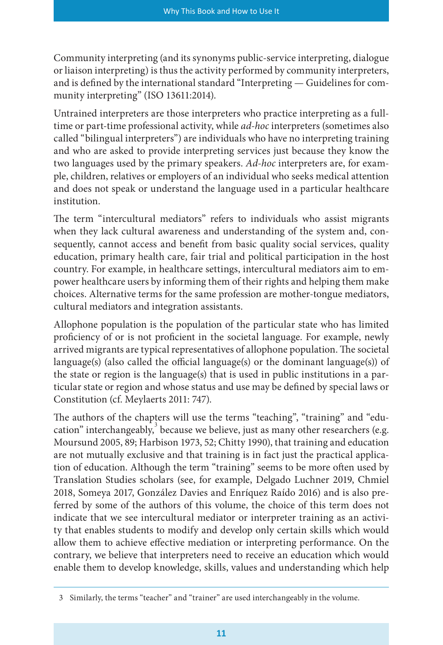Community interpreting (and its synonyms public-service interpreting, dialogue or liaison interpreting) is thus the activity performed by community interpreters, and is defined by the international standard "Interpreting — Guidelines for community interpreting" (ISO 13611:2014).

Untrained interpreters are those interpreters who practice interpreting as a fulltime or part-time professional activity, while *ad-hoc* interpreters (sometimes also called "bilingual interpreters") are individuals who have no interpreting training and who are asked to provide interpreting services just because they know the two languages used by the primary speakers. *Ad-hoc* interpreters are, for example, children, relatives or employers of an individual who seeks medical attention and does not speak or understand the language used in a particular healthcare institution.

The term "intercultural mediators" refers to individuals who assist migrants when they lack cultural awareness and understanding of the system and, consequently, cannot access and benefit from basic quality social services, quality education, primary health care, fair trial and political participation in the host country. For example, in healthcare settings, intercultural mediators aim to empower healthcare users by informing them of their rights and helping them make choices. Alternative terms for the same profession are mother-tongue mediators, cultural mediators and integration assistants.

Allophone population is the population of the particular state who has limited proficiency of or is not proficient in the societal language. For example, newly arrived migrants are typical representatives of allophone population. The societal language(s) (also called the official language(s) or the dominant language(s)) of the state or region is the language(s) that is used in public institutions in a particular state or region and whose status and use may be defined by special laws or Constitution (cf. Meylaerts 2011: 747).

The authors of the chapters will use the terms "teaching", "training" and "education" interchangeably,  $3$  because we believe, just as many other researchers (e.g. Moursund 2005, 89; Harbison 1973, 52; Chitty 1990), that training and education are not mutually exclusive and that training is in fact just the practical application of education. Although the term "training" seems to be more often used by Translation Studies scholars (see, for example, Delgado Luchner 2019, Chmiel 2018, Someya 2017, González Davies and Enríquez Raído 2016) and is also preferred by some of the authors of this volume, the choice of this term does not indicate that we see intercultural mediator or interpreter training as an activity that enables students to modify and develop only certain skills which would allow them to achieve effective mediation or interpreting performance. On the contrary, we believe that interpreters need to receive an education which would enable them to develop knowledge, skills, values and understanding which help

<sup>3</sup> Similarly, the terms "teacher" and "trainer" are used interchangeably in the volume.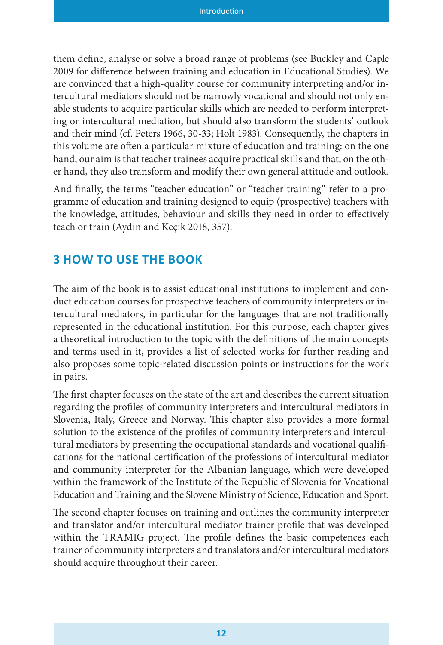them define, analyse or solve a broad range of problems (see Buckley and Caple 2009 for difference between training and education in Educational Studies). We are convinced that a high-quality course for community interpreting and/or intercultural mediators should not be narrowly vocational and should not only enable students to acquire particular skills which are needed to perform interpreting or intercultural mediation, but should also transform the students' outlook and their mind (cf. Peters 1966, 30-33; Holt 1983). Consequently, the chapters in this volume are often a particular mixture of education and training: on the one hand, our aim is that teacher trainees acquire practical skills and that, on the other hand, they also transform and modify their own general attitude and outlook.

And finally, the terms "teacher education" or "teacher training" refer to a programme of education and training designed to equip (prospective) teachers with the knowledge, attitudes, behaviour and skills they need in order to effectively teach or train (Aydin and Keçik 2018, 357).

# **3 HOW TO USE THE BOOK**

The aim of the book is to assist educational institutions to implement and conduct education courses for prospective teachers of community interpreters or intercultural mediators, in particular for the languages that are not traditionally represented in the educational institution. For this purpose, each chapter gives a theoretical introduction to the topic with the definitions of the main concepts and terms used in it, provides a list of selected works for further reading and also proposes some topic-related discussion points or instructions for the work in pairs.

The first chapter focuses on the state of the art and describes the current situation regarding the profiles of community interpreters and intercultural mediators in Slovenia, Italy, Greece and Norway. This chapter also provides a more formal solution to the existence of the profiles of community interpreters and intercultural mediators by presenting the occupational standards and vocational qualifications for the national certification of the professions of intercultural mediator and community interpreter for the Albanian language, which were developed within the framework of the Institute of the Republic of Slovenia for Vocational Education and Training and the Slovene Ministry of Science, Education and Sport.

The second chapter focuses on training and outlines the community interpreter and translator and/or intercultural mediator trainer profile that was developed within the TRAMIG project. The profile defines the basic competences each trainer of community interpreters and translators and/or intercultural mediators should acquire throughout their career.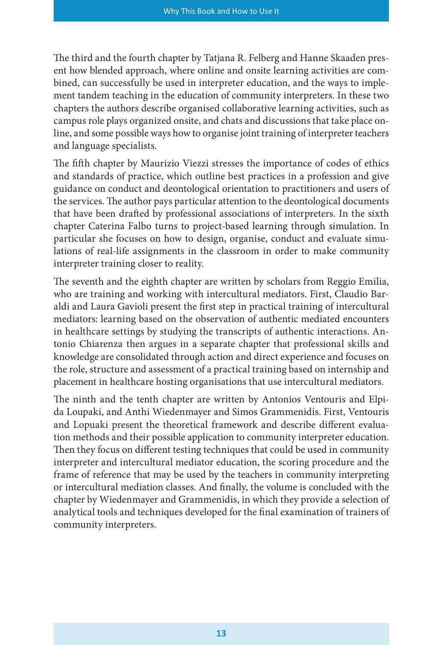The third and the fourth chapter by Tatjana R. Felberg and Hanne Skaaden present how blended approach, where online and onsite learning activities are combined, can successfully be used in interpreter education, and the ways to implement tandem teaching in the education of community interpreters. In these two chapters the authors describe organised collaborative learning activities, such as campus role plays organized onsite, and chats and discussions that take place online, and some possible ways how to organise joint training of interpreter teachers and language specialists.

The fifth chapter by Maurizio Viezzi stresses the importance of codes of ethics and standards of practice, which outline best practices in a profession and give guidance on conduct and deontological orientation to practitioners and users of the services. The author pays particular attention to the deontological documents that have been drafted by professional associations of interpreters. In the sixth chapter Caterina Falbo turns to project-based learning through simulation. In particular she focuses on how to design, organise, conduct and evaluate simulations of real-life assignments in the classroom in order to make community interpreter training closer to reality.

The seventh and the eighth chapter are written by scholars from Reggio Emilia, who are training and working with intercultural mediators. First, Claudio Baraldi and Laura Gavioli present the first step in practical training of intercultural mediators: learning based on the observation of authentic mediated encounters in healthcare settings by studying the transcripts of authentic interactions. Antonio Chiarenza then argues in a separate chapter that professional skills and knowledge are consolidated through action and direct experience and focuses on the role, structure and assessment of a practical training based on internship and placement in healthcare hosting organisations that use intercultural mediators.

The ninth and the tenth chapter are written by Antonios Ventouris and Elpida Loupaki, and Anthi Wiedenmayer and Simos Grammenidis. First, Ventouris and Lopuaki present the theoretical framework and describe different evaluation methods and their possible application to community interpreter education. Then they focus on different testing techniques that could be used in community interpreter and intercultural mediator education, the scoring procedure and the frame of reference that may be used by the teachers in community interpreting or intercultural mediation classes. And finally, the volume is concluded with the chapter by Wiedenmayer and Grammenidis, in which they provide a selection of analytical tools and techniques developed for the final examination of trainers of community interpreters.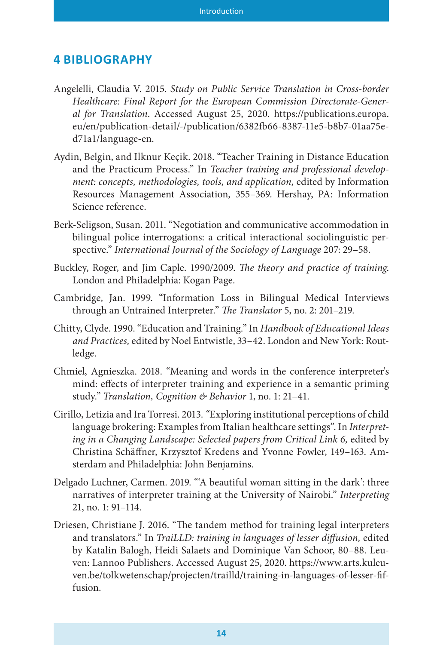### **4 BIBLIOGRAPHY**

- Angelelli, Claudia V. 2015. *Study on Public Service Translation in Cross-border Healthcare: Final Report for the European Commission Directorate-General for Translation*. Accessed August 25, 2020. https://publications.europa. eu/en/publication-detail/-/publication/6382fb66-8387-11e5-b8b7-01aa75ed71a1/language-en.
- Aydin, Belgin, and Ilknur Keçik. 2018. "Teacher Training in Distance Education and the Practicum Process." In *Teacher training and professional development: concepts, methodologies, tools, and application,* edited by Information Resources Management Association*,* 355–369. Hershay, PA: Information Science reference.
- Berk-Seligson, Susan. 2011. "Negotiation and communicative accommodation in bilingual police interrogations: a critical interactional sociolinguistic perspective." *International Journal of the Sociology of Language* 207: 29–58.
- Buckley, Roger, and Jim Caple. 1990/2009. *The theory and practice of training*. London and Philadelphia: Kogan Page.
- Cambridge, Jan. 1999. "Information Loss in Bilingual Medical Interviews through an Untrained Interpreter." *The Translator* 5, no. 2: 201–219.
- Chitty, Clyde. 1990. "Education and Training." In *Handbook of Educational Ideas and Practices,* edited by Noel Entwistle, 33–42. London and New York: Routledge.
- Chmiel, Agnieszka. 2018. "Meaning and words in the conference interpreter's mind: effects of interpreter training and experience in a semantic priming study." *Translation, Cognition & Behavior* 1, no. 1: 21–41.
- Cirillo, Letizia and Ira Torresi. 2013. *"*Exploring institutional perceptions of child language brokering: Examples from Italian healthcare settings". In *Interpret*ing in a Changing Landscape: Selected papers from Critical Link 6, edited by Christina Schäffner, Krzysztof Kredens and Yvonne Fowler, 149–163. Amsterdam and Philadelphia: John Benjamins.
- Delgado Luchner, Carmen. 2019. "'A beautiful woman sitting in the dark': three narratives of interpreter training at the University of Nairobi." *Interpreting* 21, no. 1: 91–114.
- Driesen, Christiane J. 2016. "The tandem method for training legal interpreters and translators." In *TraiLLD: training in languages of lesser diffusion,* edited by Katalin Balogh, Heidi Salaets and Dominique Van Schoor, 80–88. Leuven: Lannoo Publishers. Accessed August 25, 2020. https://www.arts.kuleuven.be/tolkwetenschap/projecten/trailld/training-in-languages-of-lesser-fiffusion.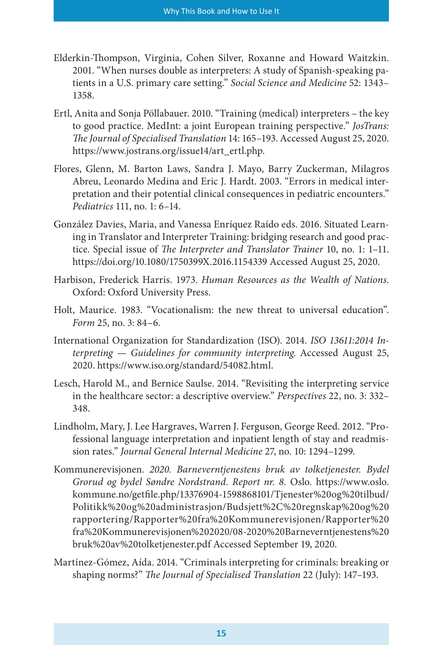- Elderkin-Thompson, Virginia, Cohen Silver, Roxanne and Howard Waitzkin. 2001. "When nurses double as interpreters: A study of Spanish-speaking patients in a U.S. primary care setting." *Social Science and Medicine* 52: 1343– 1358.
- Ertl, Anita and Sonja Pöllabauer. 2010. "Training (medical) interpreters the key to good practice. MedInt: a joint European training perspective." *JosTrans: The Journal of Specialised Translation* 14: 165–193. Accessed August 25, 2020. https://www.jostrans.org/issue14/art\_ertl.php.
- Flores, Glenn, M. Barton Laws, Sandra J. Mayo, Barry Zuckerman, Milagros Abreu, Leonardo Medina and Eric J. Hardt. 2003. "Errors in medical interpretation and their potential clinical consequences in pediatric encounters." *Pediatrics* 111, no. 1: 6–14.
- González Davies, Maria, and Vanessa Enríquez Raído eds. 2016. Situated Learning in Translator and Interpreter Training: bridging research and good practice. Special issue of *The Interpreter and Translator Trainer* 10, no. 1: 1–11. https://doi.org/10.1080/1750399X.2016.1154339 Accessed August 25, 2020.
- Harbison, Frederick Harris. 1973. *Human Resources as the Wealth of Nations*. Oxford: Oxford University Press.
- Holt, Maurice. 1983. "Vocationalism: the new threat to universal education". *Form* 25, no. 3: 84–6.
- International Organization for Standardization (ISO). 2014. *ISO 13611:2014 Interpreting — Guidelines for community interpreting*. Accessed August 25, 2020. https://www.iso.org/standard/54082.html.
- Lesch, Harold M., and Bernice Saulse. 2014. "Revisiting the interpreting service in the healthcare sector: a descriptive overview." *Perspectives* 22, no. 3: 332– 348.
- Lindholm, Mary, J. Lee Hargraves, Warren J. Ferguson, George Reed. 2012. "Professional language interpretation and inpatient length of stay and readmission rates." *Journal General Internal Medicine* 27, no. 10: 1294–1299.
- Kommunerevisjonen. *2020. Barneverntjenestens bruk av tolketjenester. Bydel Grorud og bydel Søndre Nordstrand. Report nr. 8.* Oslo*.* https://www.oslo. kommune.no/getfile.php/13376904-1598868101/Tjenester%20og%20tilbud/ Politikk%20og%20administrasjon/Budsjett%2C%20regnskap%20og%20 rapportering/Rapporter%20fra%20Kommunerevisjonen/Rapporter%20 fra%20Kommunerevisjonen%202020/08-2020%20Barneverntjenestens%20 bruk%20av%20tolketjenester.pdf Accessed September 19, 2020.
- Martínez-Gómez, Aída. 2014. "Criminals interpreting for criminals: breaking or shaping norms?" *The Journal of Specialised Translation* 22 (July): 147–193.